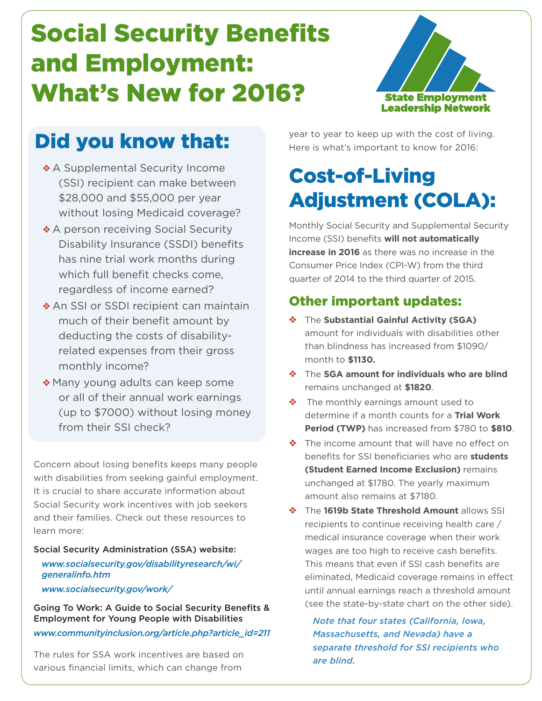# Social Security Benefits and Employment: What's New for 2016?



# Did you know that:

- ❖ A Supplemental Security Income (SSI) recipient can make between \$28,000 and \$55,000 per year without losing Medicaid coverage?
- ◆ A person receiving Social Security Disability Insurance (SSDI) benefits has nine trial work months during which full benefit checks come, regardless of income earned?
- ❖ An SSI or SSDI recipient can maintain much of their benefit amount by deducting the costs of disabilityrelated expenses from their gross monthly income?
- ❖ Many young adults can keep some or all of their annual work earnings (up to \$7000) without losing money from their SSI check?

Concern about losing benefits keeps many people with disabilities from seeking gainful employment. It is crucial to share accurate information about Social Security work incentives with job seekers and their families. Check out these resources to learn more:

### Social Security Administration (SSA) website:

### *www.socialsecurity.gov/disabilityresearch/wi/ generalinfo.htm*

#### *www.socialsecurity.gov/work/*

Going To Work: A Guide to Social Security Benefits & Employment for Young People with Disabilities

*www.communityinclusion.org/article.php?article\_id=211*

The rules for SSA work incentives are based on various financial limits, which can change from

year to year to keep up with the cost of living. Here is what's important to know for 2016:

# Cost-of-Living Adjustment (COLA):

Monthly Social Security and Supplemental Security Income (SSI) benefits **will not automatically increase in 2016** as there was no increase in the Consumer Price Index (CPI-W) from the third quarter of 2014 to the third quarter of 2015.

### Other important updates:

- ❖ The **Substantial Gainful Activity (SGA)**  amount for individuals with disabilities other than blindness has increased from \$1090/ month to **\$1130.**
- ❖ The **SGA amount for individuals who are blind** remains unchanged at **\$1820**.
- ❖ The monthly earnings amount used to determine if a month counts for a **Trial Work Period (TWP)** has increased from \$780 to **\$810**.
- ❖ The income amount that will have no effect on benefits for SSI beneficiaries who are **students (Student Earned Income Exclusion)** remains unchanged at \$1780. The yearly maximum amount also remains at \$7180.
- ❖ The **1619b State Threshold Amount** allows SSI recipients to continue receiving health care / medical insurance coverage when their work wages are too high to receive cash benefits. This means that even if SSI cash benefits are eliminated, Medicaid coverage remains in effect until annual earnings reach a threshold amount (see the state-by-state chart on the other side).

*Note that four states (California, Iowa, Massachusetts, and Nevada) have a separate threshold for SSI recipients who are blind.*